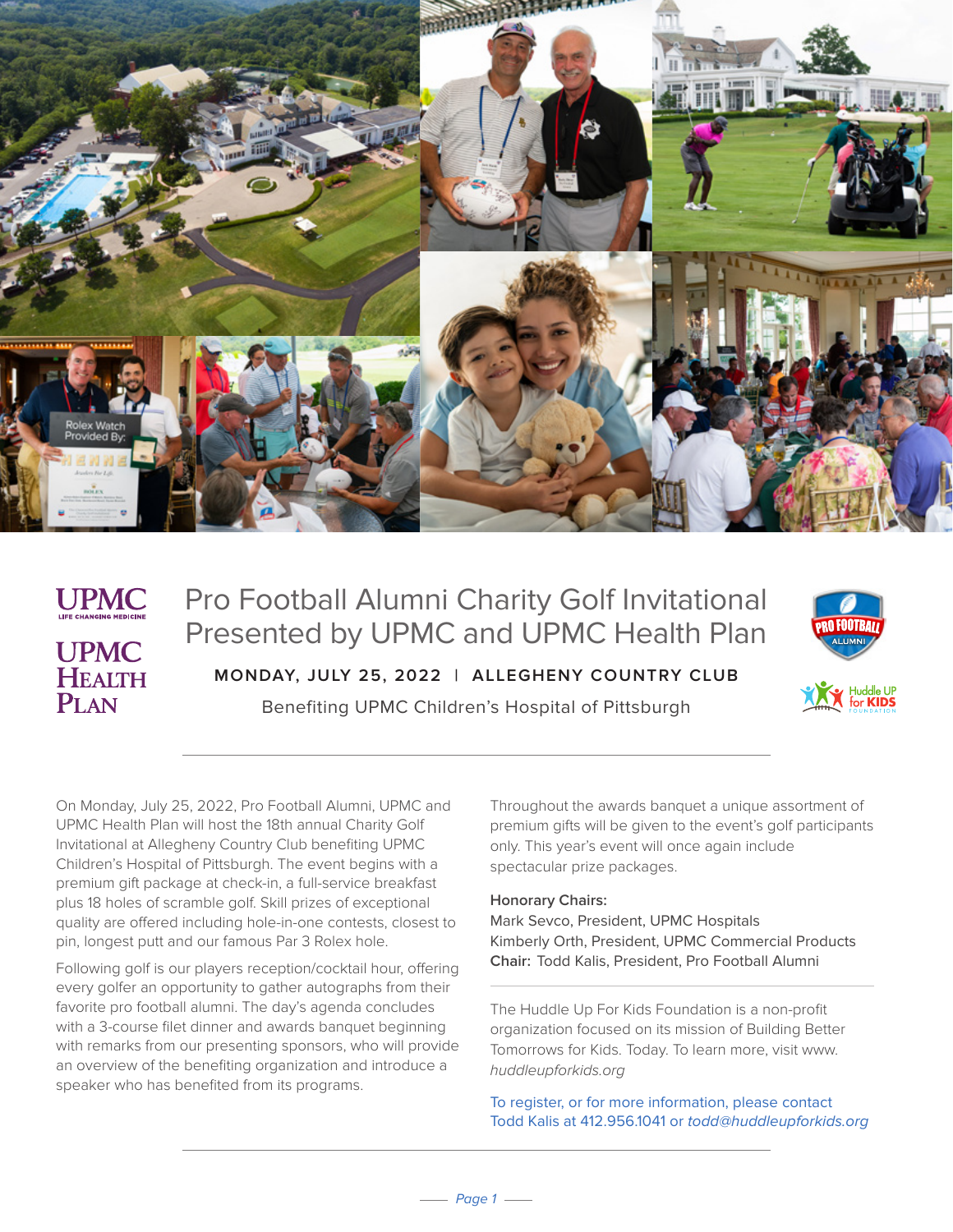

## **UPMC UPMC HEALTH**  $P<sub>I</sub>$  AN

# Pro Football Alumni Charity Golf Invitational Presented by UPMC and UPMC Health Plan **MONDAY, JULY 25, 2022 | ALLEGHENY COUNTRY CLUB**

Benefiting UPMC Children's Hospital of Pittsburgh



On Monday, July 25, 2022, Pro Football Alumni, UPMC and UPMC Health Plan will host the 18th annual Charity Golf Invitational at Allegheny Country Club benefiting UPMC Children's Hospital of Pittsburgh. The event begins with a premium gift package at check-in, a full-service breakfast plus 18 holes of scramble golf. Skill prizes of exceptional quality are offered including hole-in-one contests, closest to pin, longest putt and our famous Par 3 Rolex hole.

Following golf is our players reception/cocktail hour, offering every golfer an opportunity to gather autographs from their favorite pro football alumni. The day's agenda concludes with a 3-course filet dinner and awards banquet beginning with remarks from our presenting sponsors, who will provide an overview of the benefiting organization and introduce a speaker who has benefited from its programs.

Throughout the awards banquet a unique assortment of premium gifts will be given to the event's golf participants only. This year's event will once again include spectacular prize packages.

### **Honorary Chairs:**

Mark Sevco, President, UPMC Hospitals Kimberly Orth, President, UPMC Commercial Products **Chair:** Todd Kalis, President, Pro Football Alumni

The Huddle Up For Kids Foundation is a non-profit organization focused on its mission of Building Better Tomorrows for Kids. Today. To learn more, visit www. huddleupforkids.org

To register, or for more information, please contact Todd Kalis at 412.956.1041 or todd@huddleupforkids.org

 $-page 1 -$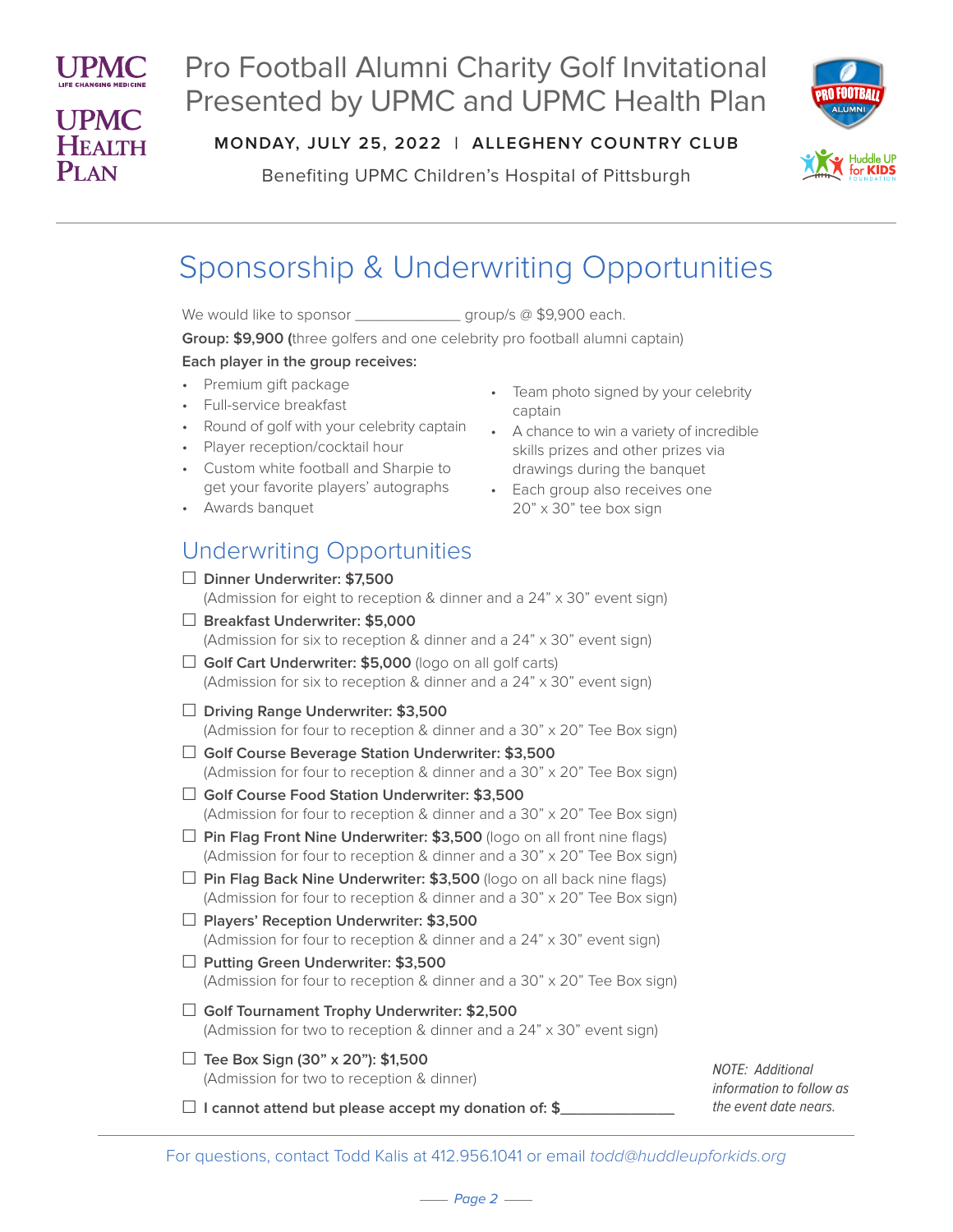

# Pro Football Alumni Charity Golf Invitational Presented by UPMC and UPMC Health Plan



**MONDAY, JULY 25, 2022 | ALLEGHENY COUNTRY CLUB**

Benefiting UPMC Children's Hospital of Pittsburgh

# Sponsorship & Underwriting Opportunities

We would like to sponsor \_\_\_\_\_\_\_\_\_\_\_\_\_\_\_\_ group/s @ \$9,900 each.

**Group: \$9,900 (**three golfers and one celebrity pro football alumni captain)

### **Each player in the group receives:**

- Premium gift package
- Full-service breakfast
- Round of golf with your celebrity captain
- Player reception/cocktail hour
- Custom white football and Sharpie to get your favorite players' autographs
- Awards banquet

### Underwriting Opportunities

|        | $\Box$ Dinner Underwriter: \$7,500<br>(Admission for eight to reception & dinner and a 24" x 30" event sign)                                              |
|--------|-----------------------------------------------------------------------------------------------------------------------------------------------------------|
|        | $\Box$ Breakfast Underwriter: \$5,000<br>(Admission for six to reception & dinner and a 24" x 30" event sign)                                             |
|        | $\Box$ Golf Cart Underwriter: \$5,000 (logo on all golf carts)<br>(Admission for six to reception & dinner and a 24" x 30" event sign)                    |
|        | $\Box$ Driving Range Underwriter: \$3,500<br>(Admission for four to reception & dinner and a 30" x 20" Tee Box sign)                                      |
|        | □ Golf Course Beverage Station Underwriter: \$3,500<br>(Admission for four to reception & dinner and a 30" x 20" Tee Box sign)                            |
| $\Box$ | Golf Course Food Station Underwriter: \$3,500<br>(Admission for four to reception & dinner and a 30" x 20" Tee Box sign)                                  |
|        | $\Box$ Pin Flag Front Nine Underwriter: \$3,500 (logo on all front nine flags)<br>(Admission for four to reception & dinner and a 30" x 20" Tee Box sign) |
|        | Pin Flag Back Nine Underwriter: \$3,500 (logo on all back nine flags)<br>(Admission for four to reception & dinner and a 30" x 20" Tee Box sign)          |
|        | $\Box$ Players' Reception Underwriter: \$3,500<br>(Admission for four to reception & dinner and a 24" x 30" event sign)                                   |
|        | $\Box$ Putting Green Underwriter: \$3,500<br>(Admission for four to reception & dinner and a 30" x 20" Tee Box sign)                                      |
| □      | Golf Tournament Trophy Underwriter: \$2,500<br>(Admission for two to reception & dinner and a 24" x 30" event sign)                                       |
| $\Box$ | Tee Box Sign (30" x 20"): \$1,500<br>(Admission for two to reception & dinner)                                                                            |
|        | I cannot attend but please accept my donation of: \$                                                                                                      |
|        |                                                                                                                                                           |

• Team photo signed by your celebrity captain

• A chance to win a variety of incredible skills prizes and other prizes via drawings during the banquet

> NOTE: Additional information to follow as the event date nears.

• Each group also receives one 20" x 30" tee box sign